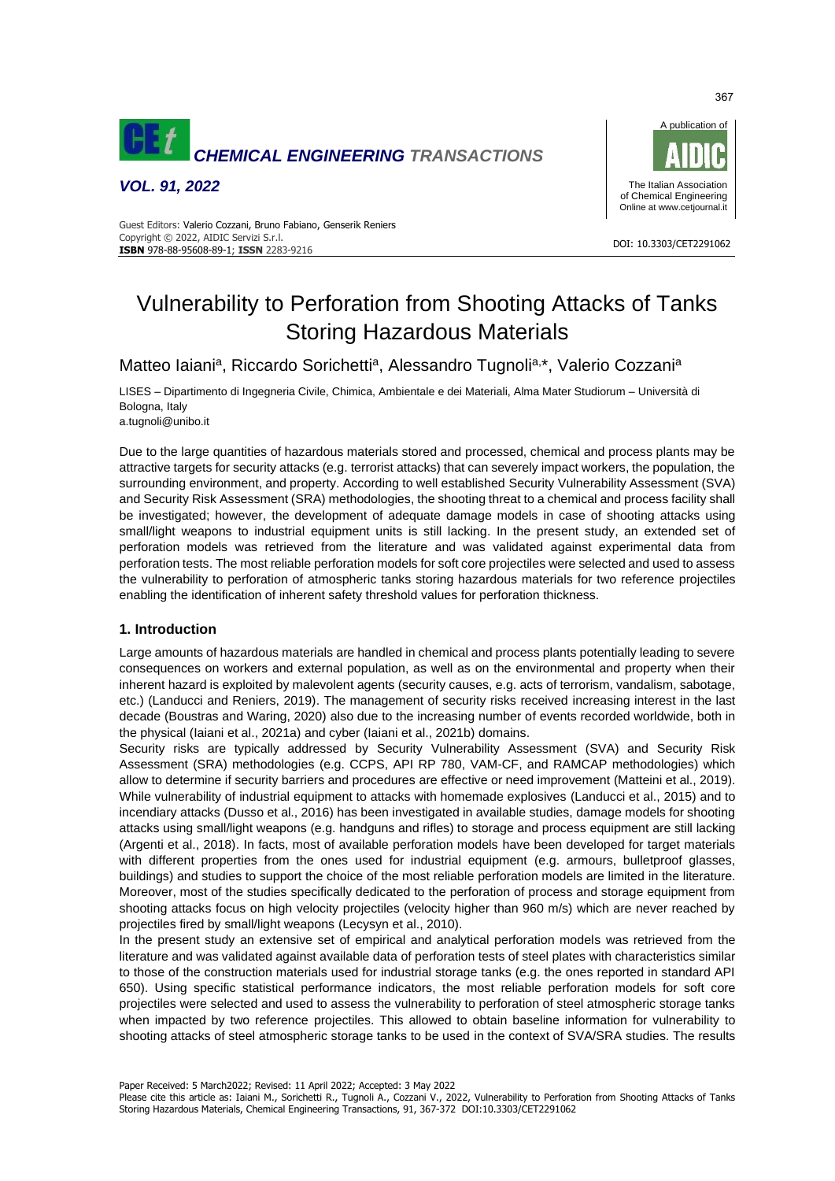

*VOL. 91, 2022*



#### DOI: 10.3303/CET2291062 **ISBN** 978-88-95608-89-1; **ISSN** 2283-9216 Guest Editors: Valerio Cozzani, Bruno Fabiano, Genserik Reniers Copyright © 2022, AIDIC Servizi S.r.l.

# Vulnerability to Perforation from Shooting Attacks of Tanks Storing Hazardous Materials

Matteo laiani<sup>a</sup>, Riccardo Sorichetti<sup>a</sup>, Alessandro Tugnoli<sup>a,\*</sup>, Valerio Cozzani<sup>a</sup>

LISES – Dipartimento di Ingegneria Civile, Chimica, Ambientale e dei Materiali, Alma Mater Studiorum – Università di Bologna, Italy

a.tugnoli@unibo.it

Due to the large quantities of hazardous materials stored and processed, chemical and process plants may be attractive targets for security attacks (e.g. terrorist attacks) that can severely impact workers, the population, the surrounding environment, and property. According to well established Security Vulnerability Assessment (SVA) and Security Risk Assessment (SRA) methodologies, the shooting threat to a chemical and process facility shall be investigated; however, the development of adequate damage models in case of shooting attacks using small/light weapons to industrial equipment units is still lacking. In the present study, an extended set of perforation models was retrieved from the literature and was validated against experimental data from perforation tests. The most reliable perforation models for soft core projectiles were selected and used to assess the vulnerability to perforation of atmospheric tanks storing hazardous materials for two reference projectiles enabling the identification of inherent safety threshold values for perforation thickness.

#### **1. Introduction**

Large amounts of hazardous materials are handled in chemical and process plants potentially leading to severe consequences on workers and external population, as well as on the environmental and property when their inherent hazard is exploited by malevolent agents (security causes, e.g. acts of terrorism, vandalism, sabotage, etc.) (Landucci and Reniers, 2019). The management of security risks received increasing interest in the last decade (Boustras and Waring, 2020) also due to the increasing number of events recorded worldwide, both in the physical (Iaiani et al., 2021a) and cyber (Iaiani et al., 2021b) domains.

Security risks are typically addressed by Security Vulnerability Assessment (SVA) and Security Risk Assessment (SRA) methodologies (e.g. CCPS, API RP 780, VAM-CF, and RAMCAP methodologies) which allow to determine if security barriers and procedures are effective or need improvement (Matteini et al., 2019). While vulnerability of industrial equipment to attacks with homemade explosives (Landucci et al., 2015) and to incendiary attacks (Dusso et al., 2016) has been investigated in available studies, damage models for shooting attacks using small/light weapons (e.g. handguns and rifles) to storage and process equipment are still lacking (Argenti et al., 2018). In facts, most of available perforation models have been developed for target materials with different properties from the ones used for industrial equipment (e.g. armours, bulletproof glasses, buildings) and studies to support the choice of the most reliable perforation models are limited in the literature. Moreover, most of the studies specifically dedicated to the perforation of process and storage equipment from shooting attacks focus on high velocity projectiles (velocity higher than 960 m/s) which are never reached by projectiles fired by small/light weapons (Lecysyn et al., 2010).

In the present study an extensive set of empirical and analytical perforation models was retrieved from the literature and was validated against available data of perforation tests of steel plates with characteristics similar to those of the construction materials used for industrial storage tanks (e.g. the ones reported in standard API 650). Using specific statistical performance indicators, the most reliable perforation models for soft core projectiles were selected and used to assess the vulnerability to perforation of steel atmospheric storage tanks when impacted by two reference projectiles. This allowed to obtain baseline information for vulnerability to shooting attacks of steel atmospheric storage tanks to be used in the context of SVA/SRA studies. The results

367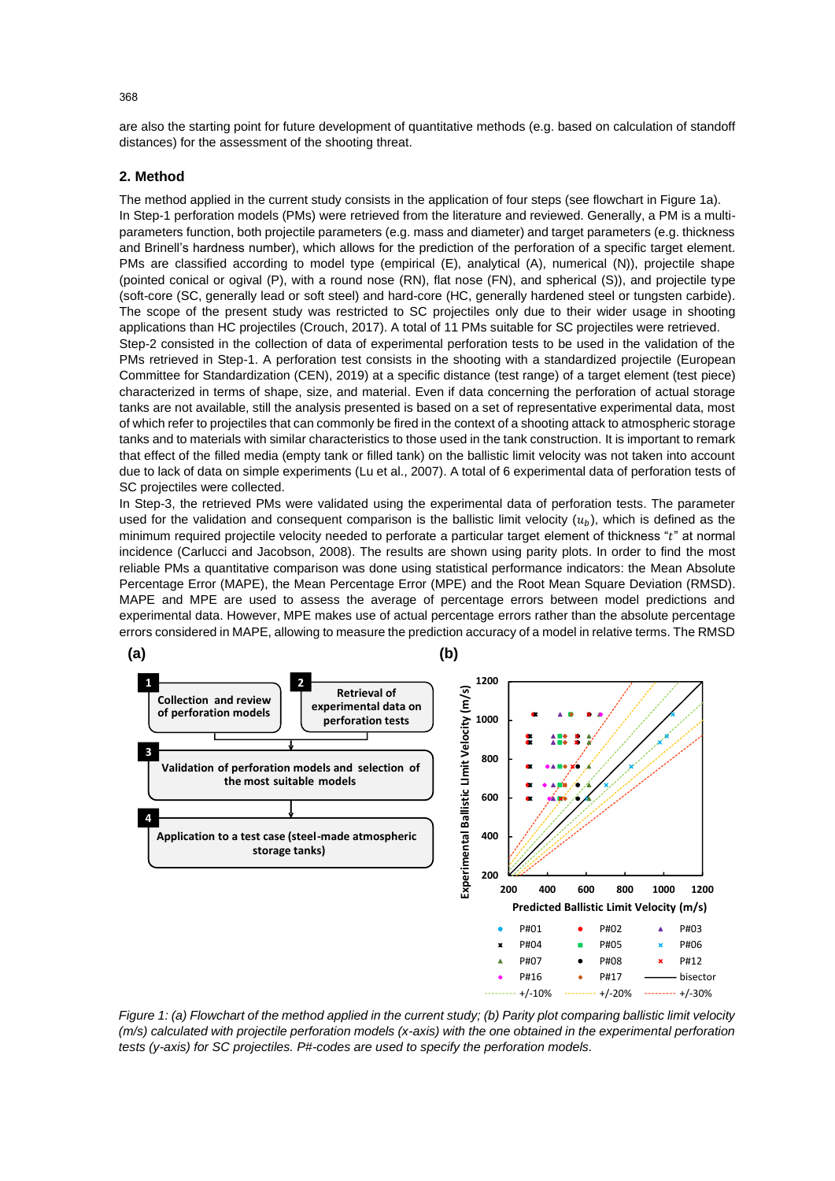are also the starting point for future development of quantitative methods (e.g. based on calculation of standoff distances) for the assessment of the shooting threat.

# **2. Method**

The method applied in the current study consists in the application of four steps (see flowchart in Figure 1a). In Step-1 perforation models (PMs) were retrieved from the literature and reviewed. Generally, a PM is a multiparameters function, both projectile parameters (e.g. mass and diameter) and target parameters (e.g. thickness and Brinell's hardness number), which allows for the prediction of the perforation of a specific target element. PMs are classified according to model type (empirical (E), analytical (A), numerical (N)), projectile shape (pointed conical or ogival (P), with a round nose (RN), flat nose (FN), and spherical (S)), and projectile type (soft-core (SC, generally lead or soft steel) and hard-core (HC, generally hardened steel or tungsten carbide). The scope of the present study was restricted to SC projectiles only due to their wider usage in shooting applications than HC projectiles (Crouch, 2017). A total of 11 PMs suitable for SC projectiles were retrieved. Step-2 consisted in the collection of data of experimental perforation tests to be used in the validation of the PMs retrieved in Step-1. A perforation test consists in the shooting with a standardized projectile (European Committee for Standardization (CEN), 2019) at a specific distance (test range) of a target element (test piece) characterized in terms of shape, size, and material. Even if data concerning the perforation of actual storage tanks are not available, still the analysis presented is based on a set of representative experimental data, most of which refer to projectiles that can commonly be fired in the context of a shooting attack to atmospheric storage tanks and to materials with similar characteristics to those used in the tank construction. It is important to remark that effect of the filled media (empty tank or filled tank) on the ballistic limit velocity was not taken into account due to lack of data on simple experiments (Lu et al., 2007). A total of 6 experimental data of perforation tests of SC projectiles were collected.

In Step-3, the retrieved PMs were validated using the experimental data of perforation tests. The parameter used for the validation and consequent comparison is the ballistic limit velocity  $(u_b)$ , which is defined as the minimum required projectile velocity needed to perforate a particular target element of thickness " $t$ " at normal incidence (Carlucci and Jacobson, 2008). The results are shown using parity plots. In order to find the most reliable PMs a quantitative comparison was done using statistical performance indicators: the Mean Absolute Percentage Error (MAPE), the Mean Percentage Error (MPE) and the Root Mean Square Deviation (RMSD). MAPE and MPE are used to assess the average of percentage errors between model predictions and experimental data. However, MPE makes use of actual percentage errors rather than the absolute percentage errors considered in MAPE, allowing to measure the prediction accuracy of a model in relative terms. The RMSD



*Figure 1: (a) Flowchart of the method applied in the current study; (b) Parity plot comparing ballistic limit velocity (m/s) calculated with projectile perforation models (x-axis) with the one obtained in the experimental perforation tests (y-axis) for SC projectiles. P#-codes are used to specify the perforation models.*

368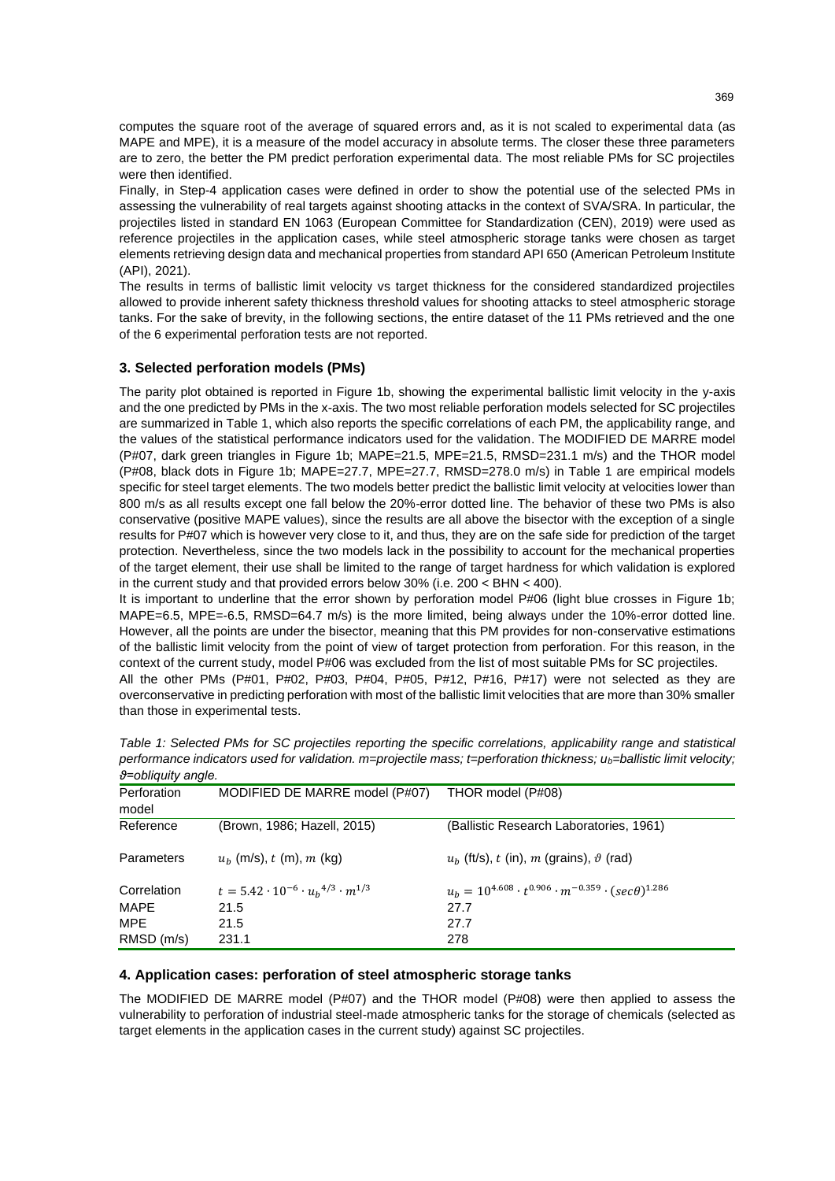computes the square root of the average of squared errors and, as it is not scaled to experimental data (as MAPE and MPE), it is a measure of the model accuracy in absolute terms. The closer these three parameters are to zero, the better the PM predict perforation experimental data. The most reliable PMs for SC projectiles were then identified.

Finally, in Step-4 application cases were defined in order to show the potential use of the selected PMs in assessing the vulnerability of real targets against shooting attacks in the context of SVA/SRA. In particular, the projectiles listed in standard EN 1063 (European Committee for Standardization (CEN), 2019) were used as reference projectiles in the application cases, while steel atmospheric storage tanks were chosen as target elements retrieving design data and mechanical properties from standard API 650 (American Petroleum Institute (API), 2021).

The results in terms of ballistic limit velocity vs target thickness for the considered standardized projectiles allowed to provide inherent safety thickness threshold values for shooting attacks to steel atmospheric storage tanks. For the sake of brevity, in the following sections, the entire dataset of the 11 PMs retrieved and the one of the 6 experimental perforation tests are not reported.

# **3. Selected perforation models (PMs)**

The parity plot obtained is reported in Figure 1b, showing the experimental ballistic limit velocity in the y-axis and the one predicted by PMs in the x-axis. The two most reliable perforation models selected for SC projectiles are summarized in Table 1, which also reports the specific correlations of each PM, the applicability range, and the values of the statistical performance indicators used for the validation. The MODIFIED DE MARRE model (P#07, dark green triangles in Figure 1b; MAPE=21.5, MPE=21.5, RMSD=231.1 m/s) and the THOR model (P#08, black dots in Figure 1b; MAPE=27.7, MPE=27.7, RMSD=278.0 m/s) in Table 1 are empirical models specific for steel target elements. The two models better predict the ballistic limit velocity at velocities lower than 800 m/s as all results except one fall below the 20%-error dotted line. The behavior of these two PMs is also conservative (positive MAPE values), since the results are all above the bisector with the exception of a single results for P#07 which is however very close to it, and thus, they are on the safe side for prediction of the target protection. Nevertheless, since the two models lack in the possibility to account for the mechanical properties of the target element, their use shall be limited to the range of target hardness for which validation is explored in the current study and that provided errors below 30% (i.e. 200 < BHN < 400).

It is important to underline that the error shown by perforation model P#06 (light blue crosses in Figure 1b; MAPE=6.5, MPE=-6.5, RMSD=64.7 m/s) is the more limited, being always under the 10%-error dotted line. However, all the points are under the bisector, meaning that this PM provides for non-conservative estimations of the ballistic limit velocity from the point of view of target protection from perforation. For this reason, in the context of the current study, model P#06 was excluded from the list of most suitable PMs for SC projectiles. All the other PMs (P#01, P#02, P#03, P#04, P#05, P#12, P#16, P#17) were not selected as they are overconservative in predicting perforation with most of the ballistic limit velocities that are more than 30% smaller than those in experimental tests.

| Perforation | MODIFIED DE MARRE model (P#07)                         | THOR model (P#08)                                                             |  |  |
|-------------|--------------------------------------------------------|-------------------------------------------------------------------------------|--|--|
| model       |                                                        |                                                                               |  |  |
|             |                                                        |                                                                               |  |  |
| Reference   | (Brown, 1986; Hazell, 2015)                            | (Ballistic Research Laboratories, 1961)                                       |  |  |
|             |                                                        |                                                                               |  |  |
| Parameters  | $u_h$ (m/s), t (m), m (kg)                             | $ub$ (ft/s), t (in), m (grains), $\vartheta$ (rad)                            |  |  |
|             |                                                        |                                                                               |  |  |
| Correlation | $t = 5.42 \cdot 10^{-6} \cdot u_h^{4/3} \cdot m^{1/3}$ | $u_h = 10^{4.608} \cdot t^{0.906} \cdot m^{-0.359} \cdot (sec\theta)^{1.286}$ |  |  |
|             |                                                        |                                                                               |  |  |
| MAPE        | 21.5                                                   | 27.7                                                                          |  |  |
| MPE         | 21.5                                                   | 27.7                                                                          |  |  |
|             |                                                        |                                                                               |  |  |
| RMSD (m/s)  | 231.1                                                  | 278                                                                           |  |  |

*Table 1: Selected PMs for SC projectiles reporting the specific correlations, applicability range and statistical performance indicators used for validation. m=projectile mass; t=perforation thickness; ub=ballistic limit velocity; ϑ=obliquity angle.*

## **4. Application cases: perforation of steel atmospheric storage tanks**

The MODIFIED DE MARRE model (P#07) and the THOR model (P#08) were then applied to assess the vulnerability to perforation of industrial steel-made atmospheric tanks for the storage of chemicals (selected as target elements in the application cases in the current study) against SC projectiles.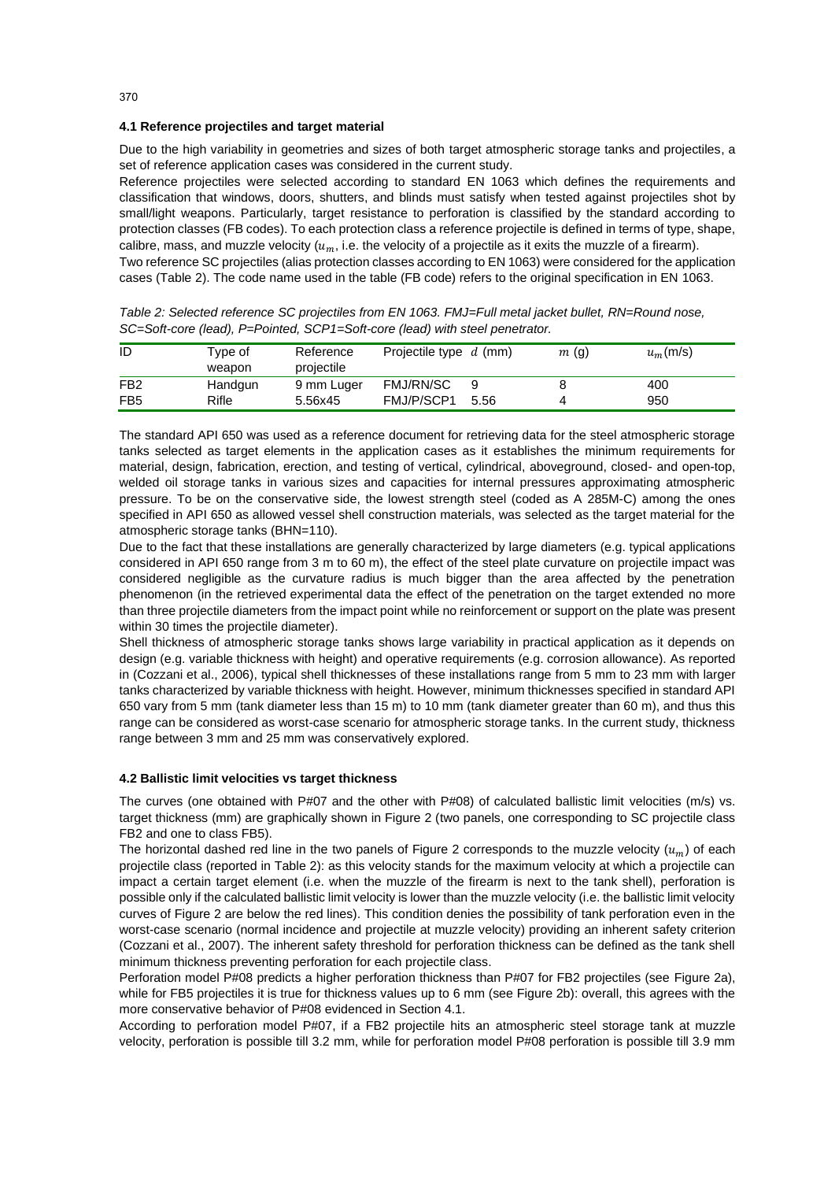## **4.1 Reference projectiles and target material**

Due to the high variability in geometries and sizes of both target atmospheric storage tanks and projectiles, a set of reference application cases was considered in the current study.

Reference projectiles were selected according to standard EN 1063 which defines the requirements and classification that windows, doors, shutters, and blinds must satisfy when tested against projectiles shot by small/light weapons. Particularly, target resistance to perforation is classified by the standard according to protection classes (FB codes). To each protection class a reference projectile is defined in terms of type, shape, calibre, mass, and muzzle velocity  $(u_m, i.e.$  the velocity of a projectile as it exits the muzzle of a firearm). Two reference SC projectiles (alias protection classes according to EN 1063) were considered for the application cases (Table 2). The code name used in the table (FB code) refers to the original specification in EN 1063.

| ID              | Tvpe of<br>weapon | Reference<br>projectile | Projectile type $d$ (mm) |      | m(g) | $u_m$ (m/s) |
|-----------------|-------------------|-------------------------|--------------------------|------|------|-------------|
| FB <sub>2</sub> | Handgun           | 9 mm Luger              | FMJ/RN/SC                |      |      | 400         |
| FB <sub>5</sub> | Rifle             | 5.56x45                 | FMJ/P/SCP1               | 5.56 |      | 950         |

*Table 2: Selected reference SC projectiles from EN 1063. FMJ=Full metal jacket bullet, RN=Round nose, SC=Soft-core (lead), P=Pointed, SCP1=Soft-core (lead) with steel penetrator.*

The standard API 650 was used as a reference document for retrieving data for the steel atmospheric storage tanks selected as target elements in the application cases as it establishes the minimum requirements for material, design, fabrication, erection, and testing of vertical, cylindrical, aboveground, closed- and open-top, welded oil storage tanks in various sizes and capacities for internal pressures approximating atmospheric pressure. To be on the conservative side, the lowest strength steel (coded as A 285M-C) among the ones specified in API 650 as allowed vessel shell construction materials, was selected as the target material for the atmospheric storage tanks (BHN=110).

Due to the fact that these installations are generally characterized by large diameters (e.g. typical applications considered in API 650 range from 3 m to 60 m), the effect of the steel plate curvature on projectile impact was considered negligible as the curvature radius is much bigger than the area affected by the penetration phenomenon (in the retrieved experimental data the effect of the penetration on the target extended no more than three projectile diameters from the impact point while no reinforcement or support on the plate was present within 30 times the projectile diameter).

Shell thickness of atmospheric storage tanks shows large variability in practical application as it depends on design (e.g. variable thickness with height) and operative requirements (e.g. corrosion allowance). As reported in (Cozzani et al., 2006), typical shell thicknesses of these installations range from 5 mm to 23 mm with larger tanks characterized by variable thickness with height. However, minimum thicknesses specified in standard API 650 vary from 5 mm (tank diameter less than 15 m) to 10 mm (tank diameter greater than 60 m), and thus this range can be considered as worst-case scenario for atmospheric storage tanks. In the current study, thickness range between 3 mm and 25 mm was conservatively explored.

#### **4.2 Ballistic limit velocities vs target thickness**

The curves (one obtained with P#07 and the other with P#08) of calculated ballistic limit velocities (m/s) vs. target thickness (mm) are graphically shown in Figure 2 (two panels, one corresponding to SC projectile class FB2 and one to class FB5).

The horizontal dashed red line in the two panels of Figure 2 corresponds to the muzzle velocity  $(u_m)$  of each projectile class (reported in Table 2): as this velocity stands for the maximum velocity at which a projectile can impact a certain target element (i.e. when the muzzle of the firearm is next to the tank shell), perforation is possible only if the calculated ballistic limit velocity is lower than the muzzle velocity (i.e. the ballistic limit velocity curves of Figure 2 are below the red lines). This condition denies the possibility of tank perforation even in the worst-case scenario (normal incidence and projectile at muzzle velocity) providing an inherent safety criterion (Cozzani et al., 2007). The inherent safety threshold for perforation thickness can be defined as the tank shell minimum thickness preventing perforation for each projectile class.

Perforation model P#08 predicts a higher perforation thickness than P#07 for FB2 projectiles (see Figure 2a), while for FB5 projectiles it is true for thickness values up to 6 mm (see Figure 2b): overall, this agrees with the more conservative behavior of P#08 evidenced in Section 4.1.

According to perforation model P#07, if a FB2 projectile hits an atmospheric steel storage tank at muzzle velocity, perforation is possible till 3.2 mm, while for perforation model P#08 perforation is possible till 3.9 mm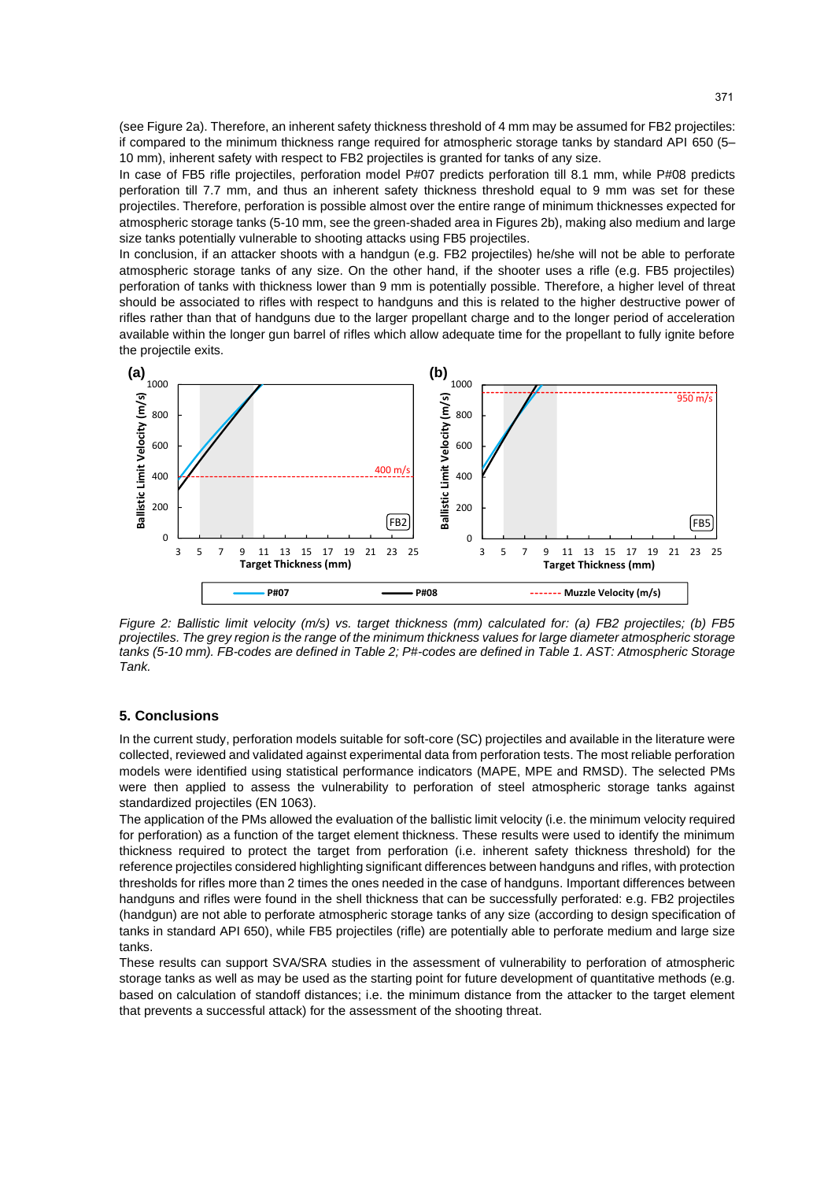(see Figure 2a). Therefore, an inherent safety thickness threshold of 4 mm may be assumed for FB2 projectiles: if compared to the minimum thickness range required for atmospheric storage tanks by standard API 650 (5– 10 mm), inherent safety with respect to FB2 projectiles is granted for tanks of any size.

In case of FB5 rifle projectiles, perforation model P#07 predicts perforation till 8.1 mm, while P#08 predicts perforation till 7.7 mm, and thus an inherent safety thickness threshold equal to 9 mm was set for these projectiles. Therefore, perforation is possible almost over the entire range of minimum thicknesses expected for atmospheric storage tanks (5-10 mm, see the green-shaded area in Figures 2b), making also medium and large size tanks potentially vulnerable to shooting attacks using FB5 projectiles.

In conclusion, if an attacker shoots with a handgun (e.g. FB2 projectiles) he/she will not be able to perforate atmospheric storage tanks of any size. On the other hand, if the shooter uses a rifle (e.g. FB5 projectiles) perforation of tanks with thickness lower than 9 mm is potentially possible. Therefore, a higher level of threat should be associated to rifles with respect to handguns and this is related to the higher destructive power of rifles rather than that of handguns due to the larger propellant charge and to the longer period of acceleration available within the longer gun barrel of rifles which allow adequate time for the propellant to fully ignite before the projectile exits.



*Figure 2: Ballistic limit velocity (m/s) vs. target thickness (mm) calculated for: (a) FB2 projectiles; (b) FB5 projectiles. The grey region is the range of the minimum thickness values for large diameter atmospheric storage tanks (5-10 mm). FB-codes are defined in Table 2; P#-codes are defined in Table 1. AST: Atmospheric Storage Tank.*

#### **5. Conclusions**

In the current study, perforation models suitable for soft-core (SC) projectiles and available in the literature were collected, reviewed and validated against experimental data from perforation tests. The most reliable perforation models were identified using statistical performance indicators (MAPE, MPE and RMSD). The selected PMs were then applied to assess the vulnerability to perforation of steel atmospheric storage tanks against standardized projectiles (EN 1063).

The application of the PMs allowed the evaluation of the ballistic limit velocity (i.e. the minimum velocity required for perforation) as a function of the target element thickness. These results were used to identify the minimum thickness required to protect the target from perforation (i.e. inherent safety thickness threshold) for the reference projectiles considered highlighting significant differences between handguns and rifles, with protection thresholds for rifles more than 2 times the ones needed in the case of handguns. Important differences between handguns and rifles were found in the shell thickness that can be successfully perforated: e.g. FB2 projectiles (handgun) are not able to perforate atmospheric storage tanks of any size (according to design specification of tanks in standard API 650), while FB5 projectiles (rifle) are potentially able to perforate medium and large size tanks.

These results can support SVA/SRA studies in the assessment of vulnerability to perforation of atmospheric storage tanks as well as may be used as the starting point for future development of quantitative methods (e.g. based on calculation of standoff distances; i.e. the minimum distance from the attacker to the target element that prevents a successful attack) for the assessment of the shooting threat.